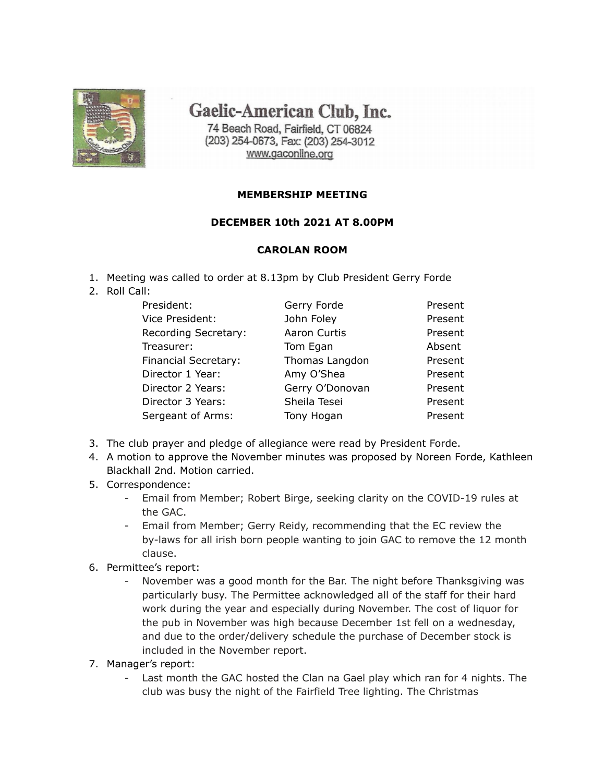

Gaelic-American Club, Inc.

74 Beach Road, Fairfield, CT 06824 (203) 254-0673, Fax: (203) 254-3012 www.gaconline.org

## **MEMBERSHIP MEETING**

## **DECEMBER 10th 2021 AT 8.00PM**

## **CAROLAN ROOM**

- 1. Meeting was called to order at 8.13pm by Club President Gerry Forde
- 2. Roll Call:

| Gerry Forde     | Present |
|-----------------|---------|
| John Foley      | Present |
| Aaron Curtis    | Present |
| Tom Egan        | Absent  |
| Thomas Langdon  | Present |
| Amy O'Shea      | Present |
| Gerry O'Donovan | Present |
| Sheila Tesei    | Present |
| Tony Hogan      | Present |
|                 |         |

- 3. The club prayer and pledge of allegiance were read by President Forde.
- 4. A motion to approve the November minutes was proposed by Noreen Forde, Kathleen Blackhall 2nd. Motion carried.
- 5. Correspondence:
	- Email from Member; Robert Birge, seeking clarity on the COVID-19 rules at the GAC.
	- Email from Member; Gerry Reidy, recommending that the EC review the by-laws for all irish born people wanting to join GAC to remove the 12 month clause.
- 6. Permittee's report:
	- November was a good month for the Bar. The night before Thanksgiving was particularly busy. The Permittee acknowledged all of the staff for their hard work during the year and especially during November. The cost of liquor for the pub in November was high because December 1st fell on a wednesday, and due to the order/delivery schedule the purchase of December stock is included in the November report.
- 7. Manager's report:
	- Last month the GAC hosted the Clan na Gael play which ran for 4 nights. The club was busy the night of the Fairfield Tree lighting. The Christmas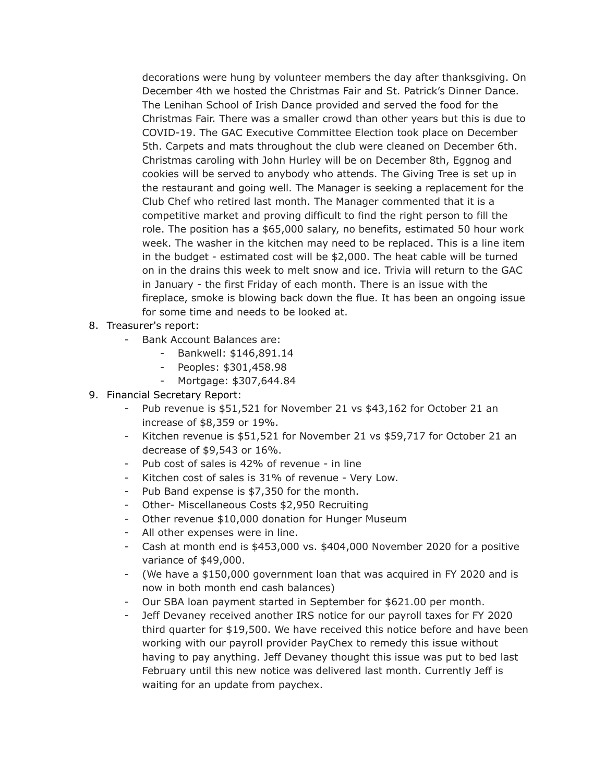decorations were hung by volunteer members the day after thanksgiving. On December 4th we hosted the Christmas Fair and St. Patrick's Dinner Dance. The Lenihan School of Irish Dance provided and served the food for the Christmas Fair. There was a smaller crowd than other years but this is due to COVID-19. The GAC Executive Committee Election took place on December 5th. Carpets and mats throughout the club were cleaned on December 6th. Christmas caroling with John Hurley will be on December 8th, Eggnog and cookies will be served to anybody who attends. The Giving Tree is set up in the restaurant and going well. The Manager is seeking a replacement for the Club Chef who retired last month. The Manager commented that it is a competitive market and proving difficult to find the right person to fill the role. The position has a \$65,000 salary, no benefits, estimated 50 hour work week. The washer in the kitchen may need to be replaced. This is a line item in the budget - estimated cost will be \$2,000. The heat cable will be turned on in the drains this week to melt snow and ice. Trivia will return to the GAC in January - the first Friday of each month. There is an issue with the fireplace, smoke is blowing back down the flue. It has been an ongoing issue for some time and needs to be looked at.

- 8. Treasurer's report:
	- Bank Account Balances are:
		- Bankwell: \$146,891.14
		- Peoples: \$301,458.98
		- Mortgage: \$307,644.84
- 9. Financial Secretary Report:
	- Pub revenue is \$51,521 for November 21 vs \$43,162 for October 21 an increase of \$8,359 or 19%.
	- Kitchen revenue is \$51,521 for November 21 vs \$59,717 for October 21 an decrease of \$9,543 or 16%.
	- Pub cost of sales is 42% of revenue in line
	- Kitchen cost of sales is 31% of revenue Very Low.
	- Pub Band expense is \$7,350 for the month.
	- Other- Miscellaneous Costs \$2,950 Recruiting
	- Other revenue \$10,000 donation for Hunger Museum
	- All other expenses were in line.
	- Cash at month end is \$453,000 vs. \$404,000 November 2020 for a positive variance of \$49,000.
	- (We have a \$150,000 government loan that was acquired in FY 2020 and is now in both month end cash balances)
	- Our SBA loan payment started in September for \$621.00 per month.
	- Jeff Devaney received another IRS notice for our payroll taxes for FY 2020 third quarter for \$19,500. We have received this notice before and have been working with our payroll provider PayChex to remedy this issue without having to pay anything. Jeff Devaney thought this issue was put to bed last February until this new notice was delivered last month. Currently Jeff is waiting for an update from paychex.